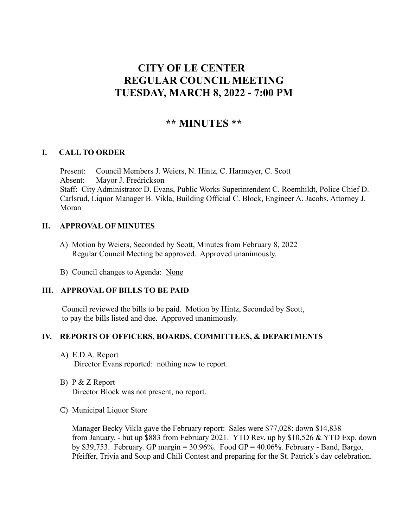# **CITY OF LE CENTER REGULAR COUNCIL MEETING TUESDAY, MARCH 8, 2022 - 7:00 PM**

## **\*\* MINUTES \*\***

## **I. CALL TO ORDER**

Present: Council Members J. Weiers, N. Hintz, C. Harmeyer, C. Scott Absent: Mayor J. Fredrickson Staff: City Administrator D. Evans, Public Works Superintendent C. Roemhildt, Police Chief D. Carlsrud, Liquor Manager B. Vikla, Building Official C. Block, Engineer A. Jacobs, Attorney J. Moran

## **II. APPROVAL OF MINUTES**

- A) Motion by Weiers, Seconded by Scott, Minutes from February 8, 2022 Regular Council Meeting be approved. Approved unanimously.
- B) Council changes to Agenda: None

## **III. APPROVAL OF BILLS TO BE PAID**

Council reviewed the bills to be paid. Motion by Hintz, Seconded by Scott, to pay the bills listed and due. Approved unanimously.

## **IV. REPORTS OF OFFICERS, BOARDS, COMMITTEES, & DEPARTMENTS**

- A) E.D.A. Report Director Evans reported: nothing new to report.
- B) P & Z Report Director Block was not present, no report.
- C) Municipal Liquor Store

Manager Becky Vikla gave the February report: Sales were \$77,028: down \$14,838 from January. - but up \$883 from February 2021. YTD Rev. up by \$10,526 & YTD Exp. down by \$39,753. February. GP margin = 30.96%. Food GP = 40.06%. February - Band, Bargo, Pfeiffer, Trivia and Soup and Chili Contest and preparing for the St. Patrick's day celebration.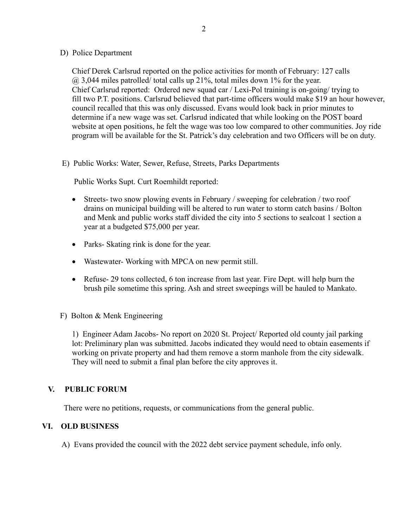#### D) Police Department

Chief Derek Carlsrud reported on the police activities for month of February: 127 calls  $(a)$  3,044 miles patrolled/ total calls up 21%, total miles down 1% for the year. Chief Carlsrud reported: Ordered new squad car / Lexi-Pol training is on-going/ trying to fill two P.T. positions. Carlsrud believed that part-time officers would make \$19 an hour however, council recalled that this was only discussed. Evans would look back in prior minutes to determine if a new wage was set. Carlsrud indicated that while looking on the POST board website at open positions, he felt the wage was too low compared to other communities. Joy ride program will be available for the St. Patrick's day celebration and two Officers will be on duty.

E) Public Works: Water, Sewer, Refuse, Streets, Parks Departments

Public Works Supt. Curt Roemhildt reported:

- Streets- two snow plowing events in February / sweeping for celebration / two roof drains on municipal building will be altered to run water to storm catch basins / Bolton and Menk and public works staff divided the city into 5 sections to sealcoat 1 section a year at a budgeted \$75,000 per year.
- Parks- Skating rink is done for the year.
- Wastewater-Working with MPCA on new permit still.
- Refuse- 29 tons collected, 6 ton increase from last year. Fire Dept. will help burn the brush pile sometime this spring. Ash and street sweepings will be hauled to Mankato.
- F) Bolton & Menk Engineering

1) Engineer Adam Jacobs- No report on 2020 St. Project/ Reported old county jail parking lot: Preliminary plan was submitted. Jacobs indicated they would need to obtain easements if working on private property and had them remove a storm manhole from the city sidewalk. They will need to submit a final plan before the city approves it.

## **V. PUBLIC FORUM**

There were no petitions, requests, or communications from the general public.

## **VI. OLD BUSINESS**

A) Evans provided the council with the 2022 debt service payment schedule, info only.